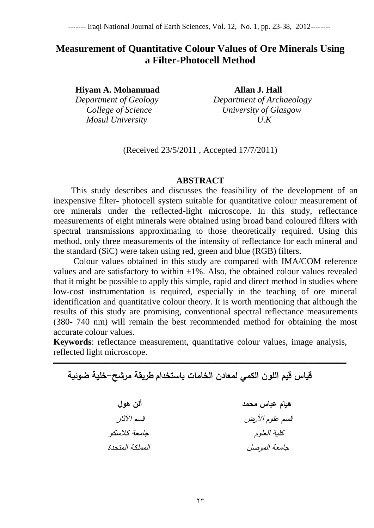# **Measurement of Quantitative Colour Values of Ore Minerals Using a Filter-Photocell Method**

**Hiyam A. Mohammad Allan J. Hall**  *Mosul University U.K*

*Department of Geology Department of Archaeology College of Science University of Glasgow* 

(Received 23/5/2011 , Accepted 17/7/2011)

# **ABSTRACT**

This study describes and discusses the feasibility of the development of an inexpensive filter- photocell system suitable for quantitative colour measurement of ore minerals under the reflected-light microscope. In this study, reflectance measurements of eight minerals were obtained using broad band coloured filters with spectral transmissions approximating to those theoretically required. Using this method, only three measurements of the intensity of reflectance for each mineral and the standard (SiC) were taken using red, green and blue (RGB) filters.

Colour values obtained in this study are compared with IMA/COM reference values and are satisfactory to within  $\pm 1\%$ . Also, the obtained colour values revealed that it might be possible to apply this simple, rapid and direct method in studies where low-cost instrumentation is required, especially in the teaching of ore mineral identification and quantitative colour theory. It is worth mentioning that although the results of this study are promising, conventional spectral reflectance measurements (380- 740 nm) will remain the best recommended method for obtaining the most accurate colour values.

**Keywords**: reflectance measurement, quantitative colour values, image analysis, reflected light microscope.

**ــــــــــــــــــــــــــــــــــــــــــــــــــــــــــــــــــــــــــــــــــــــــــــــــــــــــــــــــــــــــــــــــــــــــــــــــــــــــــــــــــــــــ قياس قيم المون الكمي لمعادن الخامات باستخدام طريقة مرشح-خمية ضوئية هيام عباس محمد ألن هول** قسم عموم األرض قسم اآلثار كمية العموم جامعة كالسكو جامعة الموصل المممكة المتحدة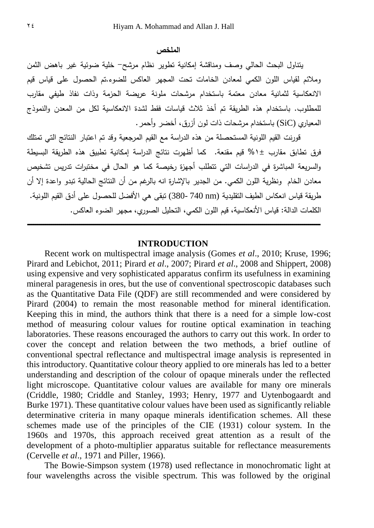## ا**لملخص**

يتناول البحث الحالي وصف ومناقشة إمكانية تطوير نظام مرشح- خمية ضوئية غير باىض الثمن ومالئم لقياس المون الكمي لمعادن الخامات تحت المجير العاكس لمضوء.تم الحصول عمى قياس قيم االنعكاسية لثمانية معادن معتمة باستخدام مرشحات ممو نة عريضة الحزمة وذات نفاذ طيفي مقارب لممطموب. باستخدام ىذه الطريقة تم أخذ ثالث قياسات فقط لشدة االنعكاسية لكل من المعدن والنموذج المعياري (SiC (باستخدام مرشحات ذات لون أزرق، أخضر وأحمر.

قورنت القيم اللونية المستحصلة من هذه الدراسة مع القيم المرجعية وقد تم اعتبار النتائج التي تمتلك فرق تطابق مقارب %1± قيم مقنعة. كما أظيرت نتائج الدراسة إمكانية تطبيق ىذه الطريقة البسيطة والسريعة المباشرة في الدراسات التي تتطلب أجهزة رخيصة كما هو الحال في مختبرات تدريس تشخيص معادن الخام ونظرية اللون الكمي. من الجدير بالإشارة انه بالرغم من أن النتائج الحالية تبدو واعدة إلا أن طريقة قياس انعكاس الطيف التقليدية (740 nm أ380- 380) تبقى هي الأفضل للحصول على أدق القيم اللونية. الكلمات الدالة: قياس الأنعكاسية، قيم اللون الكمي، التحليل الصوري، مجهر الضوء العاكس.

#### **INTRODUCTION**

**ـــــــــــــــــــــــــــــــــــــــــــــــــــــــــــــــــــــــــــــــــــــــــــــــــــــــــــــــــــــــــــــــــــــــــــــــــــ**

Recent work on multispectral image analysis (Gomes *et al*., 2010; Kruse, 1996; Pirard and Lebichot, 2011; Pirard *et al*., 2007; Pirard *et al*., 2008 and Shippert, 2008) using expensive and very sophisticated apparatus confirm its usefulness in examining mineral paragenesis in ores, but the use of conventional spectroscopic databases such as the Quantitative Data File (QDF) are still recommended and were considered by Pirard (2004) to remain the most reasonable method for mineral identification. Keeping this in mind, the authors think that there is a need for a simple low-cost method of measuring colour values for routine optical examination in teaching laboratories. These reasons encouraged the authors to carry out this work. In order to cover the concept and relation between the two methods, a brief outline of conventional spectral reflectance and multispectral image analysis is represented in this introductory. Quantitative colour theory applied to ore minerals has led to a better understanding and description of the colour of opaque minerals under the reflected light microscope. Quantitative colour values are available for many ore minerals (Criddle, 1980; Criddle and Stanley, 1993; Henry, 1977 and Uytenbogaardt and Burke 1971). These quantitative colour values have been used as significantly reliable determinative criteria in many opaque minerals identification schemes. All these schemes made use of the principles of the CIE (1931) colour system. In the 1960s and 1970s, this approach received great attention as a result of the development of a photo-multiplier apparatus suitable for reflectance measurements (Cervelle *et al*., 1971 and Piller, 1966).

The Bowie-Simpson system (1978) used reflectance in monochromatic light at four wavelengths across the visible spectrum. This was followed by the original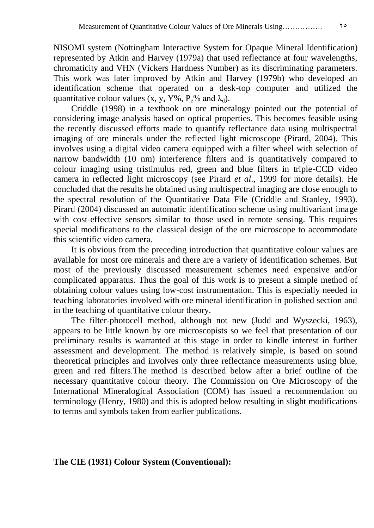NISOMI system (Nottingham Interactive System for Opaque Mineral Identification) represented by Atkin and Harvey (1979a) that used reflectance at four wavelengths, chromaticity and VHN (Vickers Hardness Number) as its discriminating parameters. This work was later improved by Atkin and Harvey (1979b) who developed an identification scheme that operated on a desk-top computer and utilized the quantitative colour values (x, y, Y%,  $P_e$ % and  $\lambda_d$ ).

Criddle (1998) in a textbook on ore mineralogy pointed out the potential of considering image analysis based on optical properties. This becomes feasible using the recently discussed efforts made to quantify reflectance data using multispectral imaging of ore minerals under the reflected light microscope (Pirard, 2004). This involves using a digital video camera equipped with a filter wheel with selection of narrow bandwidth (10 nm) interference filters and is quantitatively compared to colour imaging using tristimulus red, green and blue filters in triple-CCD video camera in reflected light microscopy (see Pirard *et al*., 1999 for more details). He concluded that the results he obtained using multispectral imaging are close enough to the spectral resolution of the Quantitative Data File (Criddle and Stanley, 1993). Pirard (2004) discussed an automatic identification scheme using multivariant image with cost-effective sensors similar to those used in remote sensing. This requires special modifications to the classical design of the ore microscope to accommodate this scientific video camera.

It is obvious from the preceding introduction that quantitative colour values are available for most ore minerals and there are a variety of identification schemes. But most of the previously discussed measurement schemes need expensive and/or complicated apparatus. Thus the goal of this work is to present a simple method of obtaining colour values using low-cost instrumentation. This is especially needed in teaching laboratories involved with ore mineral identification in polished section and in the teaching of quantitative colour theory.

The filter-photocell method, although not new (Judd and Wyszecki, 1963), appears to be little known by ore microscopists so we feel that presentation of our preliminary results is warranted at this stage in order to kindle interest in further assessment and development. The method is relatively simple, is based on sound theoretical principles and involves only three reflectance measurements using blue, green and red filters.The method is described below after a brief outline of the necessary quantitative colour theory. The Commission on Ore Microscopy of the International Mineralogical Association (COM) has issued a recommendation on terminology (Henry, 1980) and this is adopted below resulting in slight modifications to terms and symbols taken from earlier publications.

# **The CIE (1931) Colour System (Conventional):**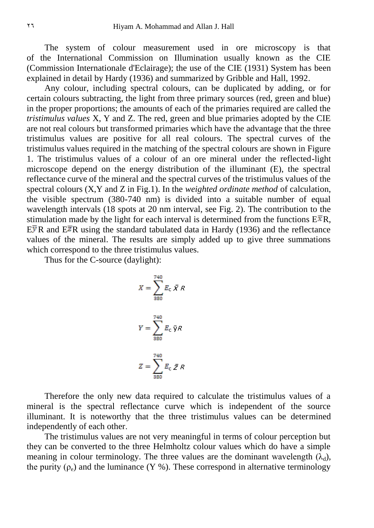The system of colour measurement used in ore microscopy is that of the International Commission on Illumination usually known as the CIE (Commission Internationale d'Eclairage); the use of the CIE (1931) System has been explained in detail by Hardy (1936) and summarized by Gribble and Hall, 1992.

Any colour, including spectral colours, can be duplicated by adding, or for certain colours subtracting, the light from three primary sources (red, green and blue) in the proper proportions; the amounts of each of the primaries required are called the *tristimulus values* X, Y and Z. The red, green and blue primaries adopted by the CIE are not real colours but transformed primaries which have the advantage that the three tristimulus values are positive for all real colours. The spectral curves of the tristimulus values required in the matching of the spectral colours are shown in Figure 1. The tristimulus values of a colour of an ore mineral under the reflected-light microscope depend on the energy distribution of the illuminant (E), the spectral reflectance curve of the mineral and the spectral curves of the tristimulus values of the spectral colours (X,Y and Z in Fig.1). In the *weighted ordinate method* of calculation, the visible spectrum (380-740 nm) is divided into a suitable number of equal wavelength intervals (18 spots at 20 nm interval, see Fig. 2). The contribution to the stimulation made by the light for each interval is determined from the functions  $E^{\overline{x}}R$ ,  $E\overline{Y}R$  and  $E\overline{Z}R$  using the standard tabulated data in Hardy (1936) and the reflectance values of the mineral. The results are simply added up to give three summations which correspond to the three tristimulus values.

Thus for the C-source (daylight):

$$
X = \sum_{380}^{740} E_{\rm c} \bar{X} R
$$

$$
Y = \sum_{380}^{740} E_{\rm c} \bar{Y} R
$$

$$
Z = \sum_{380}^{740} E_{\rm c} \bar{Z} R
$$

Therefore the only new data required to calculate the tristimulus values of a mineral is the spectral reflectance curve which is independent of the source illuminant. It is noteworthy that the three tristimulus values can be determined independently of each other.

The tristimulus values are not very meaningful in terms of colour perception but they can be converted to the three Helmholtz colour values which do have a simple meaning in colour terminology. The three values are the dominant wavelength  $(\lambda_d)$ , the purity  $(\rho_e)$  and the luminance (Y %). These correspond in alternative terminology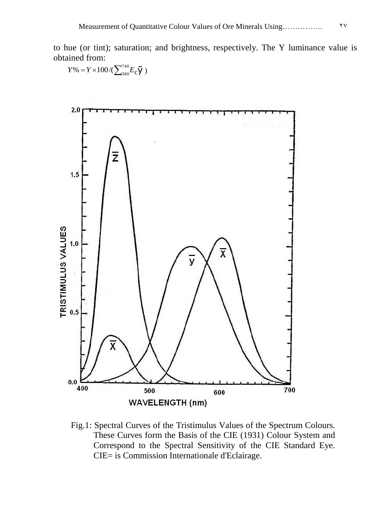to hue (or tint); saturation; and brightness, respectively. The Y luminance value is obtained from:

 $= Y \times 100 / (\sum_{380}^{740} E_{\rm c} \bar{Y})$  $Y\% = Y \times 100 / (\sum_{380}^{740} E$ 



 Fig.1: Spectral Curves of the Tristimulus Values of the Spectrum Colours. These Curves form the Basis of the CIE (1931) Colour System and Correspond to the Spectral Sensitivity of the CIE Standard Eye. CIE= is Commission Internationale d'Eclairage.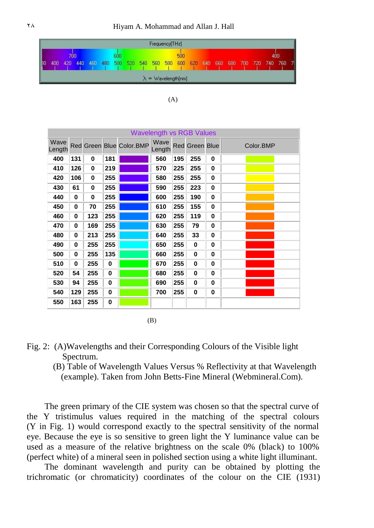

| I |
|---|
|---|

| <b>Wavelength vs RGB Values</b> |           |     |           |                          |                |     |                       |          |           |  |  |  |
|---------------------------------|-----------|-----|-----------|--------------------------|----------------|-----|-----------------------|----------|-----------|--|--|--|
| Wave<br>Length                  |           |     |           | Red Green Blue Color.BMP | Wave<br>Length |     | <b>Red Green Blue</b> |          | Color.BMP |  |  |  |
| 400                             | 131       | 0   | 181       |                          | 560            | 195 | 255                   | 0        |           |  |  |  |
| 410                             | 126       | 0   | 219       |                          | 570            | 225 | 255                   | 0        |           |  |  |  |
| 420                             | 106       | 0   | 255       |                          | 580            | 255 | 255                   | $\bf{0}$ |           |  |  |  |
| 430                             | 61        | 0   | 255       |                          | 590            | 255 | 223                   | 0        |           |  |  |  |
| 440                             | 0         | 0   | 255       |                          | 600            | 255 | 190                   | 0        |           |  |  |  |
| 450                             | 0         | 70  | 255       |                          | 610            | 255 | 155                   | 0        |           |  |  |  |
| 460                             | 0         | 123 | 255       |                          | 620            | 255 | 119                   | $\bf{0}$ |           |  |  |  |
| 470                             | 0         | 169 | 255       |                          | 630            | 255 | 79                    | 0        |           |  |  |  |
| 480                             | 0         | 213 | 255       |                          | 640            | 255 | 33                    | $\bf{0}$ |           |  |  |  |
| 490                             | 0         | 255 | 255       |                          | 650            | 255 | 0                     | $\bf{0}$ |           |  |  |  |
| 500                             | $\pmb{0}$ | 255 | 135       |                          | 660            | 255 | $\mathbf 0$           | $\bf{0}$ |           |  |  |  |
| 510                             | $\pmb{0}$ | 255 | $\bf{0}$  |                          | 670            | 255 | 0                     | 0        |           |  |  |  |
| 520                             | 54        | 255 | $\pmb{0}$ |                          | 680            | 255 | 0                     | 0        |           |  |  |  |
| 530                             | 94        | 255 | $\bf{0}$  |                          | 690            | 255 | 0                     | 0        |           |  |  |  |
| 540                             | 129       | 255 | $\bf{0}$  |                          | 700            | 255 | 0                     | 0        |           |  |  |  |
| 550                             | 163       | 255 | $\bf{0}$  |                          |                |     |                       |          |           |  |  |  |

 <sup>(</sup>B)

- Fig. 2: (A)Wavelengths and their Corresponding Colours of the Visible light Spectrum.
	- (B) Table of Wavelength Values Versus % Reflectivity at that Wavelength (example). Taken from John Betts-Fine Mineral (Webmineral.Com).

The green primary of the CIE system was chosen so that the spectral curve of the Y tristimulus values required in the matching of the spectral colours (Y in Fig. 1) would correspond exactly to the spectral sensitivity of the normal eye. Because the eye is so sensitive to green light the Y luminance value can be used as a measure of the relative brightness on the scale 0% (black) to 100% (perfect white) of a mineral seen in polished section using a white light illuminant.

The dominant wavelength and purity can be obtained by plotting the trichromatic (or chromaticity) coordinates of the colour on the CIE (1931)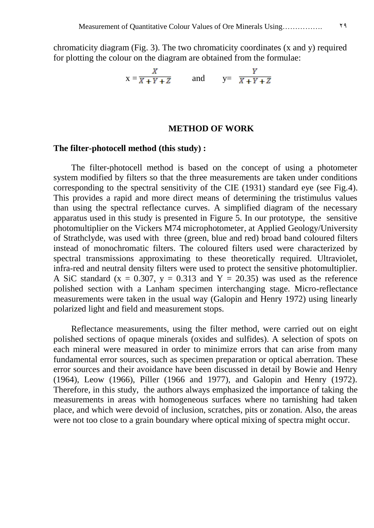chromaticity diagram (Fig. 3). The two chromaticity coordinates (x and y) required for plotting the colour on the diagram are obtained from the formulae:

$$
x = \frac{X}{X + Y + Z} \qquad \text{and} \qquad y = \frac{Y}{X + Y + Z}
$$

#### **METHOD OF WORK**

#### **The filter-photocell method (this study) :**

The filter-photocell method is based on the concept of using a photometer system modified by filters so that the three measurements are taken under conditions corresponding to the spectral sensitivity of the CIE (1931) standard eye (see Fig.4). This provides a rapid and more direct means of determining the tristimulus values than using the spectral reflectance curves. A simplified diagram of the necessary apparatus used in this study is presented in Figure 5. In our prototype, the sensitive photomultiplier on the Vickers M74 microphotometer, at Applied Geology/University of Strathclyde, was used with three (green, blue and red) broad band coloured filters instead of monochromatic filters. The coloured filters used were characterized by spectral transmissions approximating to these theoretically required. Ultraviolet, infra-red and neutral density filters were used to protect the sensitive photomultiplier. A SiC standard ( $x = 0.307$ ,  $y = 0.313$  and  $Y = 20.35$ ) was used as the reference polished section with a Lanham specimen interchanging stage. Micro-reflectance measurements were taken in the usual way (Galopin and Henry 1972) using linearly polarized light and field and measurement stops.

Reflectance measurements, using the filter method, were carried out on eight polished sections of opaque minerals (oxides and sulfides). A selection of spots on each mineral were measured in order to minimize errors that can arise from many fundamental error sources, such as specimen preparation or optical aberration. These error sources and their avoidance have been discussed in detail by Bowie and Henry (1964), Leow (1966), Piller (1966 and 1977), and Galopin and Henry (1972). Therefore, in this study, the authors always emphasized the importance of taking the measurements in areas with homogeneous surfaces where no tarnishing had taken place, and which were devoid of inclusion, scratches, pits or zonation. Also, the areas were not too close to a grain boundary where optical mixing of spectra might occur.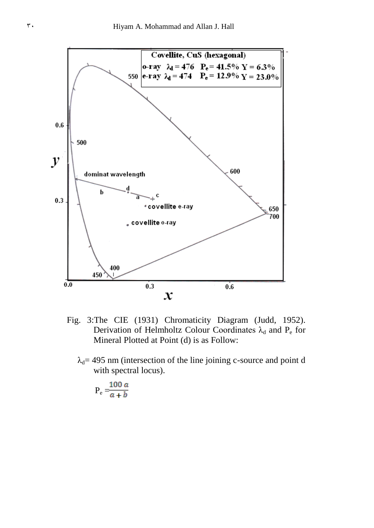

Fig. 3:The CIE (1931) Chromaticity Diagram (Judd, 1952). Derivation of Helmholtz Colour Coordinates  $\lambda_d$  and P<sub>e</sub> for Mineral Plotted at Point (d) is as Follow:

 $\lambda_d$  = 495 nm (intersection of the line joining c-source and point d with spectral locus).

$$
P_e = \frac{100 a}{a + b}
$$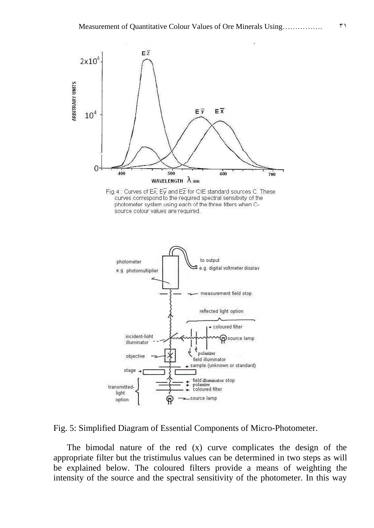





Fig. 5: Simplified Diagram of Essential Components of Micro-Photometer.

The bimodal nature of the red (x) curve complicates the design of the appropriate filter but the tristimulus values can be determined in two steps as will be explained below. The coloured filters provide a means of weighting the intensity of the source and the spectral sensitivity of the photometer. In this way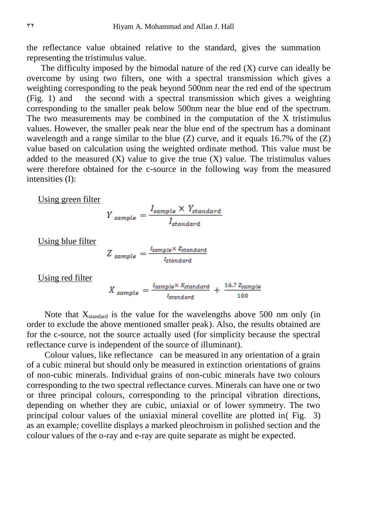the reflectance value obtained relative to the standard, gives the summation representing the tristimulus value.

The difficulty imposed by the bimodal nature of the red  $(X)$  curve can ideally be overcome by using two filters, one with a spectral transmission which gives a weighting corresponding to the peak beyond 500nm near the red end of the spectrum (Fig. 1) and the second with a spectral transmission which gives a weighting corresponding to the smaller peak below 500nm near the blue end of the spectrum. The two measurements may be combined in the computation of the X tristimulus values. However, the smaller peak near the blue end of the spectrum has a dominant wavelength and a range similar to the blue (Z) curve, and it equals 16.7% of the (Z) value based on calculation using the weighted ordinate method. This value must be added to the measured  $(X)$  value to give the true  $(X)$  value. The tristimulus values were therefore obtained for the c-source in the following way from the measured intensities (I):

Using green filter

$$
Y_{sample} = \frac{I_{sample} \times Y_{standard}}{I_{standard}}
$$

Using blue filter

$$
Z_{sample} = \frac{I_{sample} \times Z_{standard}}{I_{standard}}
$$

Using red filter

$$
X_{sample} = \frac{I_{sample} \times X_{standard}}{I_{standard}} + \frac{16.7 Z_{sample}}{100}
$$

Note that  $X_{standard}$  is the value for the wavelengths above 500 nm only (in order to exclude the above mentioned smaller peak). Also, the results obtained are for the c-source, not the source actually used (for simplicity because the spectral reflectance curve is independent of the source of illuminant).

Colour values, like reflectance can be measured in any orientation of a grain of a cubic mineral but should only be measured in extinction orientations of grains of non-cubic minerals. Individual grains of non-cubic minerals have two colours corresponding to the two spectral reflectance curves. Minerals can have one or two or three principal colours, corresponding to the principal vibration directions, depending on whether they are cubic, uniaxial or of lower symmetry. The two principal colour values of the uniaxial mineral covellite are plotted in( Fig. 3) as an example; covellite displays a marked pleochroism in polished section and the colour values of the o-ray and e-ray are quite separate as might be expected.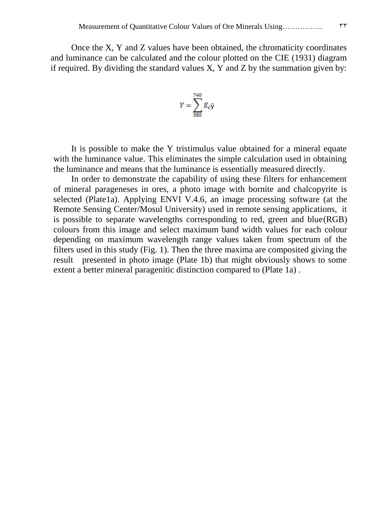Once the X, Y and Z values have been obtained, the chromaticity coordinates and luminance can be calculated and the colour plotted on the CIE (1931) diagram if required. By dividing the standard values X, Y and Z by the summation given by:

$$
Y = \sum_{380}^{740} E_{\rm c} \bar{y}
$$

It is possible to make the Y tristimulus value obtained for a mineral equate with the luminance value. This eliminates the simple calculation used in obtaining the luminance and means that the luminance is essentially measured directly.

In order to demonstrate the capability of using these filters for enhancement of mineral parageneses in ores, a photo image with bornite and chalcopyrite is selected (Plate1a). Applying ENVI V.4.6, an image processing software (at the Remote Sensing Center/Mosul University) used in remote sensing applications, it is possible to separate wavelengths corresponding to red, green and blue(RGB) colours from this image and select maximum band width values for each colour depending on maximum wavelength range values taken from spectrum of the filters used in this study (Fig. 1). Then the three maxima are composited giving the result presented in photo image (Plate 1b) that might obviously shows to some extent a better mineral paragenitic distinction compared to (Plate 1a) .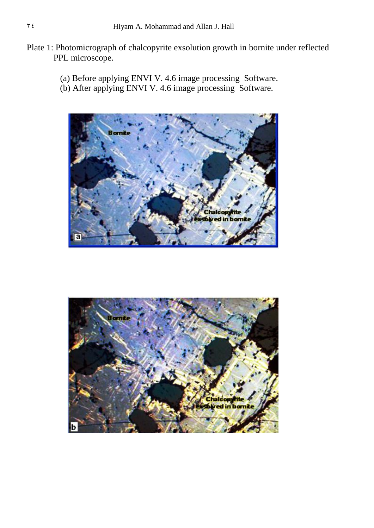- Plate 1: Photomicrograph of chalcopyrite exsolution growth in bornite under reflected PPL microscope.
	- (a) Before applying ENVI V. 4.6 image processing Software.
	- (b) After applying ENVI V. 4.6 image processing Software.



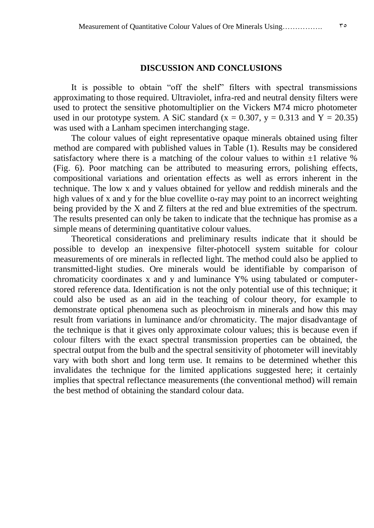#### **DISCUSSION AND CONCLUSIONS**

It is possible to obtain "off the shelf" filters with spectral transmissions approximating to those required. Ultraviolet, infra-red and neutral density filters were used to protect the sensitive photomultiplier on the Vickers M74 micro photometer used in our prototype system. A SiC standard ( $x = 0.307$ ,  $y = 0.313$  and  $Y = 20.35$ ) was used with a Lanham specimen interchanging stage.

The colour values of eight representative opaque minerals obtained using filter method are compared with published values in Table (1). Results may be considered satisfactory where there is a matching of the colour values to within  $\pm 1$  relative % (Fig. 6). Poor matching can be attributed to measuring errors, polishing effects, compositional variations and orientation effects as well as errors inherent in the technique. The low x and y values obtained for yellow and reddish minerals and the high values of x and y for the blue covellite o-ray may point to an incorrect weighting being provided by the X and Z filters at the red and blue extremities of the spectrum. The results presented can only be taken to indicate that the technique has promise as a simple means of determining quantitative colour values.

Theoretical considerations and preliminary results indicate that it should be possible to develop an inexpensive filter-photocell system suitable for colour measurements of ore minerals in reflected light. The method could also be applied to transmitted-light studies. Ore minerals would be identifiable by comparison of chromaticity coordinates x and y and luminance Y% using tabulated or computerstored reference data. Identification is not the only potential use of this technique; it could also be used as an aid in the teaching of colour theory, for example to demonstrate optical phenomena such as pleochroism in minerals and how this may result from variations in luminance and/or chromaticity. The major disadvantage of the technique is that it gives only approximate colour values; this is because even if colour filters with the exact spectral transmission properties can be obtained, the spectral output from the bulb and the spectral sensitivity of photometer will inevitably vary with both short and long term use. It remains to be determined whether this invalidates the technique for the limited applications suggested here; it certainly implies that spectral reflectance measurements (the conventional method) will remain the best method of obtaining the standard colour data.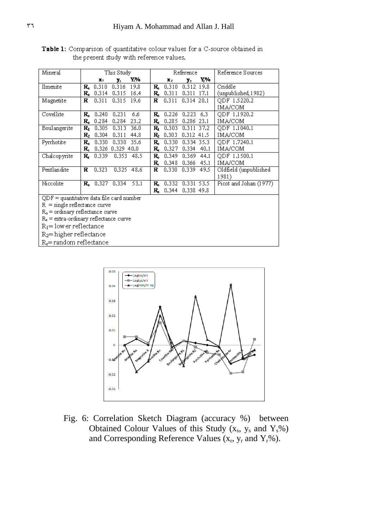| Mineral                                    | This Study |             |                |            |    |       | Reference      |      | Reference Sources      |  |
|--------------------------------------------|------------|-------------|----------------|------------|----|-------|----------------|------|------------------------|--|
|                                            |            | Xs          | $\mathbf{y}_s$ | Y,%        |    | Хr    | $\mathbf{y}_r$ | Y%   |                        |  |
| Ilmenite                                   |            | $R_0$ 0.310 | 0.316          | 19.8       | R. | 0.310 | 0.312          | 19.8 | Criddle                |  |
|                                            |            | $R_e$ 0.314 | 0.315          | 16.4       | R. | 0.311 | 0.311          | 17.1 | (unpublished, 1982)    |  |
| Magnetite                                  | R          | 0.311       | 0.315          | 19.6       | R  | 0.311 | 0.314 20.1     |      | QDF 1.5220.2           |  |
|                                            |            |             |                |            |    |       |                |      | IMA/COM                |  |
| Covellite                                  | R.         | 0.240       | 0.231          | 6.6        | R. | 0.226 | 0.223          | 6.3  | QDF 1.1920.2           |  |
|                                            | R.         | 0.284       | 0.284          | 23.2       | R. | 0.285 | 0.286 23.1     |      | IMA/COM                |  |
| Boulangerite                               | Rı         | 0.305       | 0.313          | 36.0       | R, | 0.303 | 0.311 37.2     |      | QDF 1.1040.1           |  |
|                                            | R,         | 0.304       | 0.311          | 44.8       | R, | 0.303 | $0.312$ 41.5   |      | IMA/COM                |  |
| Pyrrhotite                                 | R.         | 0.330       | 0.330          | 35.6       | R. | 0.330 | 0.334 35.3     |      | ODF 1.7240.1           |  |
|                                            | R.         | 0.326       | 0.329 40.0     |            | R, | 0.327 | 0.334          | 40.1 | IMA/COM                |  |
| Chalcopyrite                               | $R_{r}$    | 0.339       |                | 0.353 48.5 | R. | 0.349 | 0.369          | 44.1 | QDF 1.1500.1           |  |
|                                            |            |             |                |            | R, | 0.348 | 0.366          | 45.1 | IMA/COM                |  |
| Pentlandite                                | R          | 0.323       |                | 0.325 48.6 | R  | 0.330 | 0.339          | 49.5 | Oldfield (unpublished  |  |
|                                            |            |             |                |            |    |       |                |      | 1981)                  |  |
| Niccolite                                  |            | $R_0$ 0.327 | 0.334          | 53.1       | R. | 0.332 | 0.331 53.5     |      | Picot and Johan (1977) |  |
|                                            |            |             |                |            | R. | 0.344 | 0.338 49.8     |      |                        |  |
| $QDF =$ quantitative data file card number |            |             |                |            |    |       |                |      |                        |  |
| $R = single$ reflectance curve             |            |             |                |            |    |       |                |      |                        |  |
| $Ro$ = ordinary reflectance curve          |            |             |                |            |    |       |                |      |                        |  |
| $R_e$ = extra-ordinary reflectance curve   |            |             |                |            |    |       |                |      |                        |  |
| $R_1$ = low er reflectance                 |            |             |                |            |    |       |                |      |                        |  |
| $R_2$ = higher reflectance                 |            |             |                |            |    |       |                |      |                        |  |

Table 1: Comparison of quantitative colour values for a C-source obtained in the present study with reference values.

 $R<sub>r</sub>=$  random reflectance



Fig. 6: Correlation Sketch Diagram (accuracy %) between Obtained Colour Values of this Study  $(x_s, y_s \text{ and } Y_s\%)$ and Corresponding Reference Values  $(x_r, y_r \text{ and } Y_r\%)$ .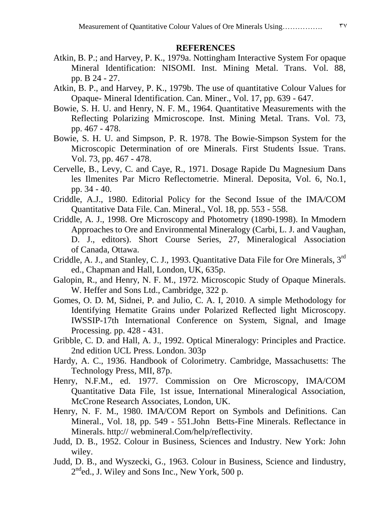# **REFERENCES**

- Atkin, B. P.; and Harvey, P. K., 1979a. Nottingham Interactive System For opaque Mineral Identification: NISOMI. Inst. Mining Metal. Trans. Vol. 88, pp. B 24 - 27.
- Atkin, B. P., and Harvey, P. K., 1979b. The use of quantitative Colour Values for Opaque- Mineral Identification. Can. Miner., Vol. 17, pp. 639 - 647.
- Bowie, S. H. U. and Henry, N. F. M., 1964. Quantitative Measurements with the Reflecting Polarizing Mmicroscope. Inst. Mining Metal. Trans. Vol. 73, pp. 467 - 478.
- Bowie, S. H. U. and Simpson, P. R. 1978. The Bowie-Simpson System for the Microscopic Determination of ore Minerals. First Students Issue. Trans. Vol. 73, pp. 467 - 478.
- Cervelle, B., Levy, C. and Caye, R., 1971. Dosage Rapide Du Magnesium Dans les Ilmenites Par Micro Reflectometrie. Mineral. Deposita, Vol. 6, No.1, pp. 34 - 40.
- Criddle, A.J., 1980. Editorial Policy for the Second Issue of the IMA/COM Quantitative Data File. Can. Mineral., Vol. 18, pp. 553 - 558.
- Criddle, A. J., 1998. Ore Microscopy and Photometry (1890-1998). In Mmodern Approaches to Ore and Environmental Mineralogy (Carbi, L. J. and Vaughan, D. J., editors). Short Course Series, 27, Mineralogical Association of Canada, Ottawa.
- Criddle, A. J., and Stanley, C. J., 1993. Quantitative Data File for Ore Minerals, 3rd ed., Chapman and Hall, London, UK, 635p.
- Galopin, R., and Henry, N. F. M., 1972. Microscopic Study of Opaque Minerals. W. Heffer and Sons Ltd., Cambridge, 322 p.
- Gomes, O. D. M, Sidnei, P. and Julio, C. A. I, 2010. A simple Methodology for Identifying Hematite Grains under Polarized Reflected light Microscopy. IWSSIP-17th International Conference on System, Signal, and Image Processing. pp. 428 - 431.
- Gribble, C. D. and Hall, A. J., 1992. Optical Mineralogy: Principles and Practice. 2nd edition UCL Press. London. 303p
- Hardy, A. C., 1936. Handbook of Colorimetry. Cambridge, Massachusetts: The Technology Press, MII, 87p.
- Henry, N.F.M., ed. 1977. Commission on Ore Microscopy, IMA/COM Quantitative Data File, 1st issue, International Mineralogical Association, McCrone Research Associates, London, UK.
- Henry, N. F. M., 1980. IMA/COM Report on Symbols and Definitions. Can Mineral., Vol. 18, pp. 549 - 551.John Betts-Fine Minerals. Reflectance in Minerals. http:// webmineral.Com/help/reflectivity.
- Judd, D. B., 1952. Colour in Business, Sciences and Industry. New York: John wiley.
- Judd, D. B., and Wyszecki, G., 1963. Colour in Business, Science and Iindustry, 2<sup>nd</sup>ed., J. Wiley and Sons Inc., New York, 500 p.